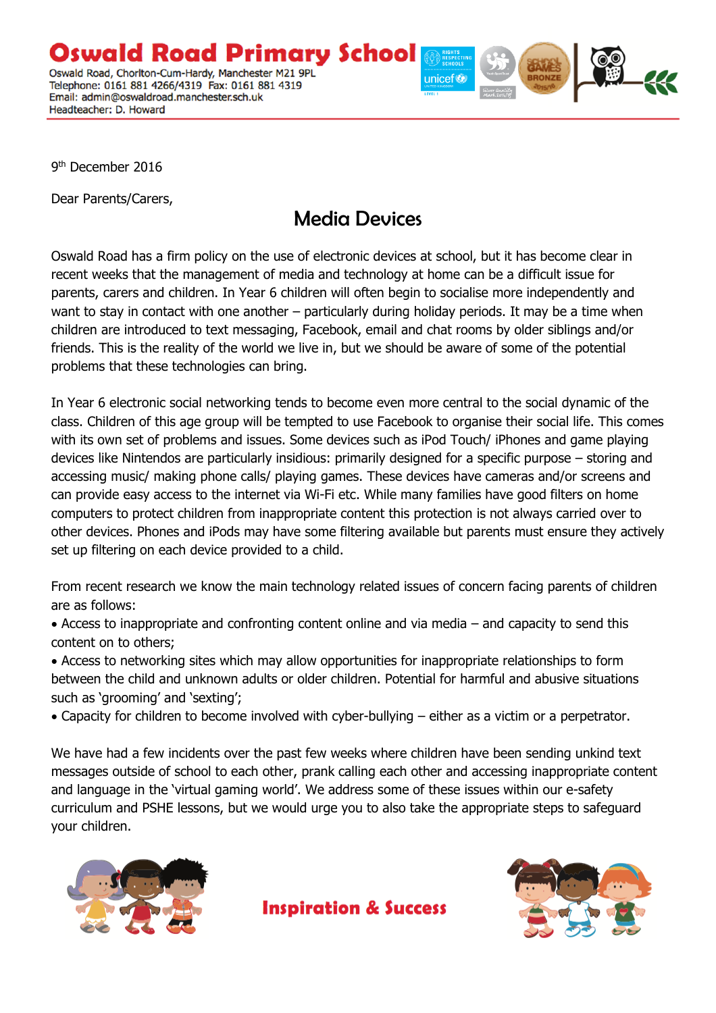Oswald Road Primary School Oswald Road, Chorlton-Cum-Hardy, Manchester M21 9PL Telephone: 0161 881 4266/4319 Fax: 0161 881 4319 Email: admin@oswaldroad.manchester.sch.uk Headteacher: D. Howard



9<sup>th</sup> December 2016

Dear Parents/Carers,

## Media Devices

Oswald Road has a firm policy on the use of electronic devices at school, but it has become clear in recent weeks that the management of media and technology at home can be a difficult issue for parents, carers and children. In Year 6 children will often begin to socialise more independently and want to stay in contact with one another – particularly during holiday periods. It may be a time when children are introduced to text messaging, Facebook, email and chat rooms by older siblings and/or friends. This is the reality of the world we live in, but we should be aware of some of the potential problems that these technologies can bring.

In Year 6 electronic social networking tends to become even more central to the social dynamic of the class. Children of this age group will be tempted to use Facebook to organise their social life. This comes with its own set of problems and issues. Some devices such as iPod Touch/ iPhones and game playing devices like Nintendos are particularly insidious: primarily designed for a specific purpose – storing and accessing music/ making phone calls/ playing games. These devices have cameras and/or screens and can provide easy access to the internet via Wi-Fi etc. While many families have good filters on home computers to protect children from inappropriate content this protection is not always carried over to other devices. Phones and iPods may have some filtering available but parents must ensure they actively set up filtering on each device provided to a child.

From recent research we know the main technology related issues of concern facing parents of children are as follows:

 Access to inappropriate and confronting content online and via media – and capacity to send this content on to others;

 Access to networking sites which may allow opportunities for inappropriate relationships to form between the child and unknown adults or older children. Potential for harmful and abusive situations such as 'grooming' and 'sexting';

Capacity for children to become involved with cyber-bullying – either as a victim or a perpetrator.

We have had a few incidents over the past few weeks where children have been sending unkind text messages outside of school to each other, prank calling each other and accessing inappropriate content and language in the 'virtual gaming world'. We address some of these issues within our e-safety curriculum and PSHE lessons, but we would urge you to also take the appropriate steps to safeguard your children.

**Inspiration & Success** 



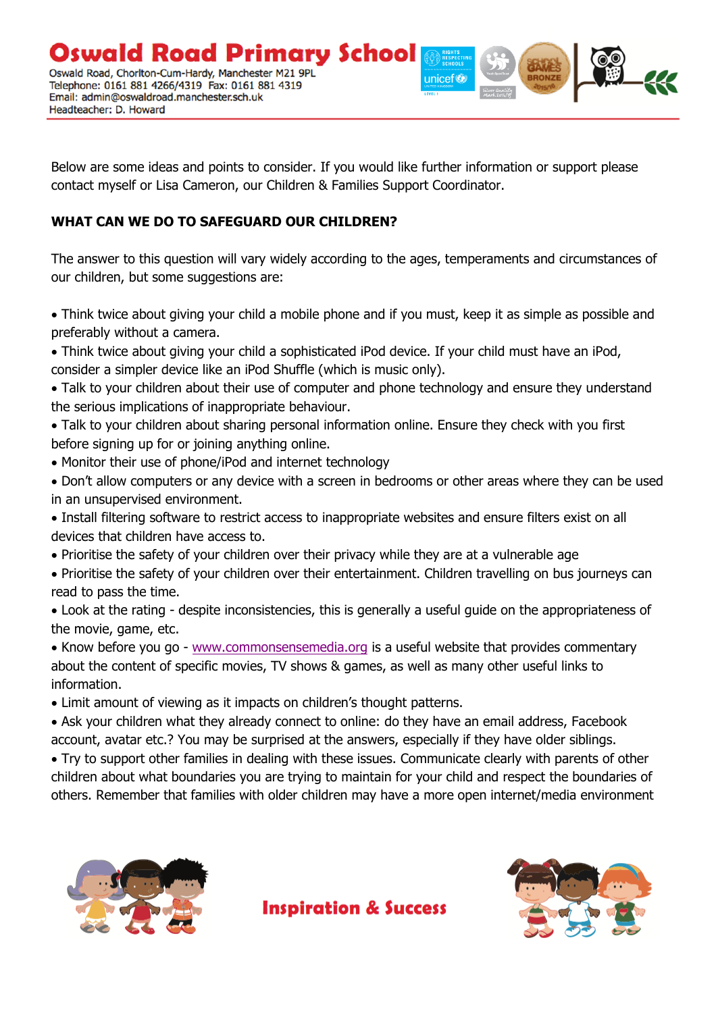Oswald Road Primary School Oswald Road, Chorlton-Cum-Hardy, Manchester M21 9PL Telephone: 0161 881 4266/4319 Fax: 0161 881 4319 Email: admin@oswaldroad.manchester.sch.uk Headteacher: D. Howard

unicef<sup>®</sup>

Below are some ideas and points to consider. If you would like further information or support please contact myself or Lisa Cameron, our Children & Families Support Coordinator.

## **WHAT CAN WE DO TO SAFEGUARD OUR CHILDREN?**

The answer to this question will vary widely according to the ages, temperaments and circumstances of our children, but some suggestions are:

 Think twice about giving your child a mobile phone and if you must, keep it as simple as possible and preferably without a camera.

- Think twice about giving your child a sophisticated iPod device. If your child must have an iPod, consider a simpler device like an iPod Shuffle (which is music only).
- Talk to your children about their use of computer and phone technology and ensure they understand the serious implications of inappropriate behaviour.
- Talk to your children about sharing personal information online. Ensure they check with you first before signing up for or joining anything online.
- Monitor their use of phone/iPod and internet technology
- Don't allow computers or any device with a screen in bedrooms or other areas where they can be used in an unsupervised environment.
- Install filtering software to restrict access to inappropriate websites and ensure filters exist on all devices that children have access to.
- Prioritise the safety of your children over their privacy while they are at a vulnerable age
- Prioritise the safety of your children over their entertainment. Children travelling on bus journeys can read to pass the time.
- Look at the rating despite inconsistencies, this is generally a useful guide on the appropriateness of the movie, game, etc.

• Know before you go - [www.commonsensemedia.org](http://www.commonsensemedia.org/) is a useful website that provides commentary about the content of specific movies, TV shows & games, as well as many other useful links to information.

Limit amount of viewing as it impacts on children's thought patterns.

 Ask your children what they already connect to online: do they have an email address, Facebook account, avatar etc.? You may be surprised at the answers, especially if they have older siblings.

 Try to support other families in dealing with these issues. Communicate clearly with parents of other children about what boundaries you are trying to maintain for your child and respect the boundaries of others. Remember that families with older children may have a more open internet/media environment

**Inspiration & Success**